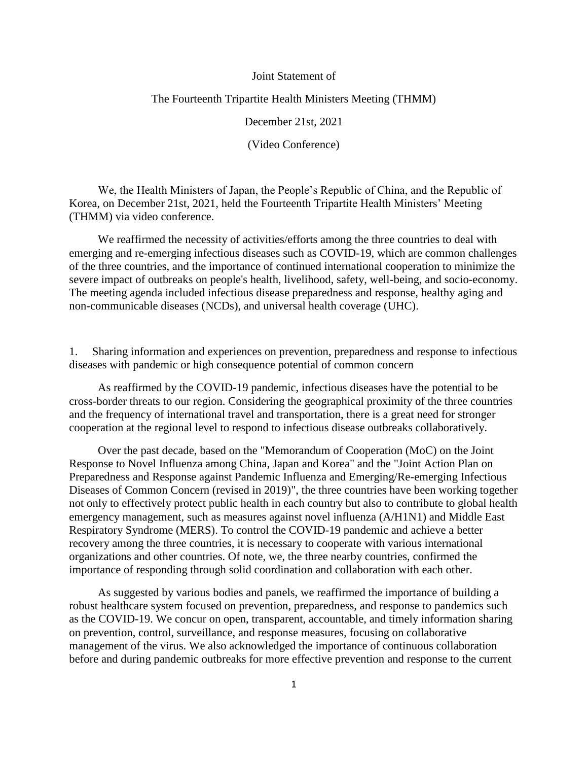### Joint Statement of

## The Fourteenth Tripartite Health Ministers Meeting (THMM)

December 21st, 2021

(Video Conference)

We, the Health Ministers of Japan, the People's Republic of China, and the Republic of Korea, on December 21st, 2021, held the Fourteenth Tripartite Health Ministers' Meeting (THMM) via video conference.

We reaffirmed the necessity of activities/efforts among the three countries to deal with emerging and re-emerging infectious diseases such as COVID-19, which are common challenges of the three countries, and the importance of continued international cooperation to minimize the severe impact of outbreaks on people's health, livelihood, safety, well-being, and socio-economy. The meeting agenda included infectious disease preparedness and response, healthy aging and non-communicable diseases (NCDs), and universal health coverage (UHC).

1. Sharing information and experiences on prevention, preparedness and response to infectious diseases with pandemic or high consequence potential of common concern

As reaffirmed by the COVID-19 pandemic, infectious diseases have the potential to be cross-border threats to our region. Considering the geographical proximity of the three countries and the frequency of international travel and transportation, there is a great need for stronger cooperation at the regional level to respond to infectious disease outbreaks collaboratively.

Over the past decade, based on the "Memorandum of Cooperation (MoC) on the Joint Response to Novel Influenza among China, Japan and Korea" and the "Joint Action Plan on Preparedness and Response against Pandemic Influenza and Emerging/Re-emerging Infectious Diseases of Common Concern (revised in 2019)", the three countries have been working together not only to effectively protect public health in each country but also to contribute to global health emergency management, such as measures against novel influenza (A/H1N1) and Middle East Respiratory Syndrome (MERS). To control the COVID-19 pandemic and achieve a better recovery among the three countries, it is necessary to cooperate with various international organizations and other countries. Of note, we, the three nearby countries, confirmed the importance of responding through solid coordination and collaboration with each other.

As suggested by various bodies and panels, we reaffirmed the importance of building a robust healthcare system focused on prevention, preparedness, and response to pandemics such as the COVID-19. We concur on open, transparent, accountable, and timely information sharing on prevention, control, surveillance, and response measures, focusing on collaborative management of the virus. We also acknowledged the importance of continuous collaboration before and during pandemic outbreaks for more effective prevention and response to the current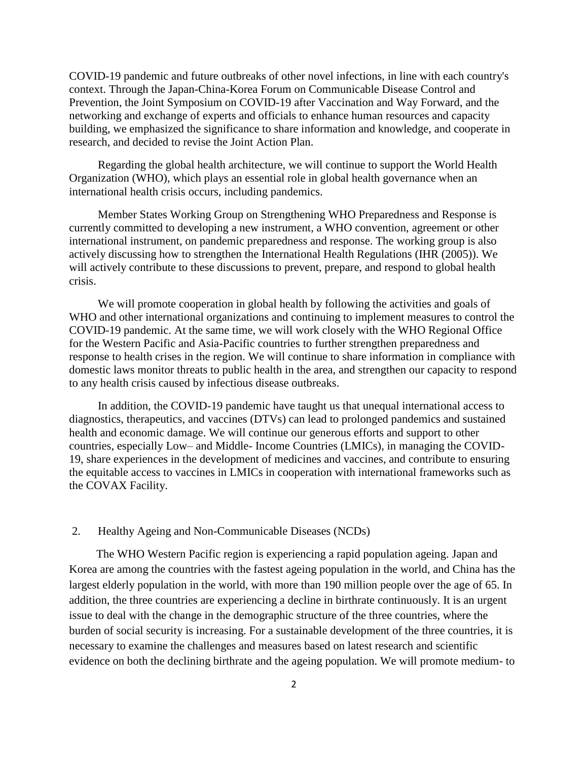COVID-19 pandemic and future outbreaks of other novel infections, in line with each country's context. Through the Japan-China-Korea Forum on Communicable Disease Control and Prevention, the Joint Symposium on COVID-19 after Vaccination and Way Forward, and the networking and exchange of experts and officials to enhance human resources and capacity building, we emphasized the significance to share information and knowledge, and cooperate in research, and decided to revise the Joint Action Plan.

Regarding the global health architecture, we will continue to support the World Health Organization (WHO), which plays an essential role in global health governance when an international health crisis occurs, including pandemics.

Member States Working Group on Strengthening WHO Preparedness and Response is currently committed to developing a new instrument, a WHO convention, agreement or other international instrument, on pandemic preparedness and response. The working group is also actively discussing how to strengthen the International Health Regulations (IHR (2005)). We will actively contribute to these discussions to prevent, prepare, and respond to global health crisis.

We will promote cooperation in global health by following the activities and goals of WHO and other international organizations and continuing to implement measures to control the COVID-19 pandemic. At the same time, we will work closely with the WHO Regional Office for the Western Pacific and Asia-Pacific countries to further strengthen preparedness and response to health crises in the region. We will continue to share information in compliance with domestic laws monitor threats to public health in the area, and strengthen our capacity to respond to any health crisis caused by infectious disease outbreaks.

In addition, the COVID-19 pandemic have taught us that unequal international access to diagnostics, therapeutics, and vaccines (DTVs) can lead to prolonged pandemics and sustained health and economic damage. We will continue our generous efforts and support to other countries, especially Low– and Middle- Income Countries (LMICs), in managing the COVID-19, share experiences in the development of medicines and vaccines, and contribute to ensuring the equitable access to vaccines in LMICs in cooperation with international frameworks such as the COVAX Facility.

#### 2. Healthy Ageing and Non-Communicable Diseases (NCDs)

The WHO Western Pacific region is experiencing a rapid population ageing. Japan and Korea are among the countries with the fastest ageing population in the world, and China has the largest elderly population in the world, with more than 190 million people over the age of 65. In addition, the three countries are experiencing a decline in birthrate continuously. It is an urgent issue to deal with the change in the demographic structure of the three countries, where the burden of social security is increasing. For a sustainable development of the three countries, it is necessary to examine the challenges and measures based on latest research and scientific evidence on both the declining birthrate and the ageing population. We will promote medium- to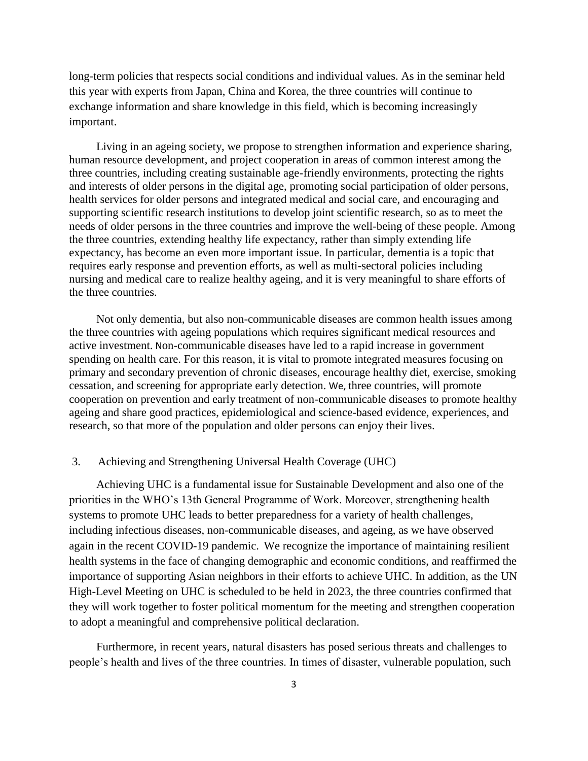long-term policies that respects social conditions and individual values. As in the seminar held this year with experts from Japan, China and Korea, the three countries will continue to exchange information and share knowledge in this field, which is becoming increasingly important.

Living in an ageing society, we propose to strengthen information and experience sharing, human resource development, and project cooperation in areas of common interest among the three countries, including creating sustainable age-friendly environments, protecting the rights and interests of older persons in the digital age, promoting social participation of older persons, health services for older persons and integrated medical and social care, and encouraging and supporting scientific research institutions to develop joint scientific research, so as to meet the needs of older persons in the three countries and improve the well-being of these people. Among the three countries, extending healthy life expectancy, rather than simply extending life expectancy, has become an even more important issue. In particular, dementia is a topic that requires early response and prevention efforts, as well as multi-sectoral policies including nursing and medical care to realize healthy ageing, and it is very meaningful to share efforts of the three countries.

Not only dementia, but also non-communicable diseases are common health issues among the three countries with ageing populations which requires significant medical resources and active investment. Non-communicable diseases have led to a rapid increase in government spending on health care. For this reason, it is vital to promote integrated measures focusing on primary and secondary prevention of chronic diseases, encourage healthy diet, exercise, smoking cessation, and screening for appropriate early detection. We, three countries, will promote cooperation on prevention and early treatment of non-communicable diseases to promote healthy ageing and share good practices, epidemiological and science-based evidence, experiences, and research, so that more of the population and older persons can enjoy their lives.

# 3. Achieving and Strengthening Universal Health Coverage (UHC)

Achieving UHC is a fundamental issue for Sustainable Development and also one of the priorities in the WHO's 13th General Programme of Work. Moreover, strengthening health systems to promote UHC leads to better preparedness for a variety of health challenges, including infectious diseases, non-communicable diseases, and ageing, as we have observed again in the recent COVID-19 pandemic. We recognize the importance of maintaining resilient health systems in the face of changing demographic and economic conditions, and reaffirmed the importance of supporting Asian neighbors in their efforts to achieve UHC. In addition, as the UN High-Level Meeting on UHC is scheduled to be held in 2023, the three countries confirmed that they will work together to foster political momentum for the meeting and strengthen cooperation to adopt a meaningful and comprehensive political declaration.

Furthermore, in recent years, natural disasters has posed serious threats and challenges to people's health and lives of the three countries. In times of disaster, vulnerable population, such